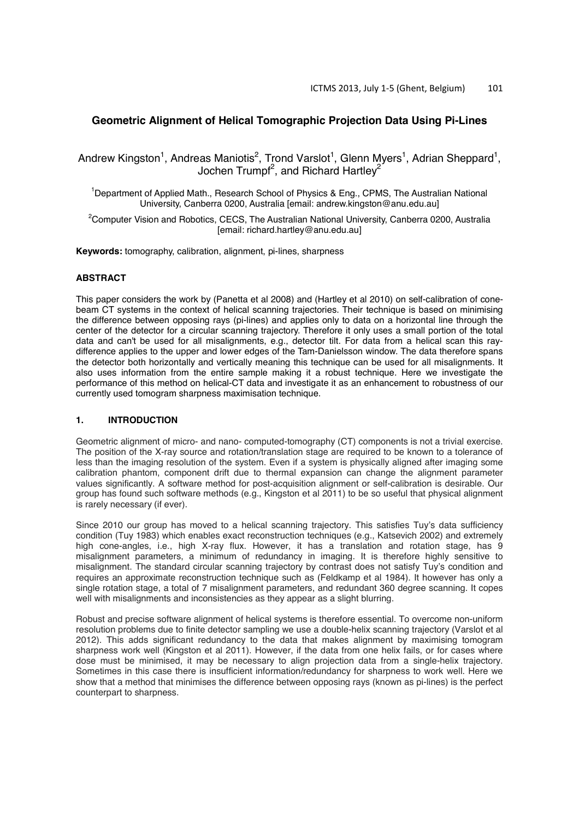# **Geometric Alignment of Helical Tomographic Projection Data Using Pi-Lines**

Andrew Kingston<sup>1</sup>, Andreas Maniotis<sup>2</sup>, Trond Varslot<sup>1</sup>, Glenn Myers<sup>1</sup>, Adrian Sheppard<sup>1</sup>, Jochen Trumpf<sup>2</sup>, and Richard Hartley<sup>2</sup>

<sup>1</sup>Department of Applied Math., Research School of Physics & Eng., CPMS, The Australian National University, Canberra 0200, Australia [email: andrew.kingston@anu.edu.au]

<sup>2</sup>Computer Vision and Robotics, CECS, The Australian National University, Canberra 0200, Australia [email: richard.hartley@anu.edu.au]

**Keywords:** tomography, calibration, alignment, pi-lines, sharpness

## **ABSTRACT**

This paper considers the work by (Panetta et al 2008) and (Hartley et al 2010) on self-calibration of conebeam CT systems in the context of helical scanning trajectories. Their technique is based on minimising the difference between opposing rays (pi-lines) and applies only to data on a horizontal line through the center of the detector for a circular scanning trajectory. Therefore it only uses a small portion of the total data and can't be used for all misalignments, e.g., detector tilt. For data from a helical scan this raydifference applies to the upper and lower edges of the Tam-Danielsson window. The data therefore spans the detector both horizontally and vertically meaning this technique can be used for all misalignments. It also uses information from the entire sample making it a robust technique. Here we investigate the performance of this method on helical-CT data and investigate it as an enhancement to robustness of our currently used tomogram sharpness maximisation technique.

# **1. INTRODUCTION**

Geometric alignment of micro- and nano- computed-tomography (CT) components is not a trivial exercise. The position of the X-ray source and rotation/translation stage are required to be known to a tolerance of less than the imaging resolution of the system. Even if a system is physically aligned after imaging some calibration phantom, component drift due to thermal expansion can change the alignment parameter values significantly. A software method for post-acquisition alignment or self-calibration is desirable. Our group has found such software methods (e.g., Kingston et al 2011) to be so useful that physical alignment is rarely necessary (if ever).

Since 2010 our group has moved to a helical scanning trajectory. This satisfies Tuy's data sufficiency condition (Tuy 1983) which enables exact reconstruction techniques (e.g., Katsevich 2002) and extremely high cone-angles, i.e., high X-ray flux. However, it has a translation and rotation stage, has 9 misalignment parameters, a minimum of redundancy in imaging. It is therefore highly sensitive to misalignment. The standard circular scanning trajectory by contrast does not satisfy Tuy's condition and requires an approximate reconstruction technique such as (Feldkamp et al 1984). It however has only a single rotation stage, a total of 7 misalignment parameters, and redundant 360 degree scanning. It copes well with misalignments and inconsistencies as they appear as a slight blurring.

Robust and precise software alignment of helical systems is therefore essential. To overcome non-uniform resolution problems due to finite detector sampling we use a double-helix scanning trajectory (Varslot et al 2012). This adds significant redundancy to the data that makes alignment by maximising tomogram sharpness work well (Kingston et al 2011). However, if the data from one helix fails, or for cases where dose must be minimised, it may be necessary to align projection data from a single-helix trajectory. Sometimes in this case there is insufficient information/redundancy for sharpness to work well. Here we show that a method that minimises the difference between opposing rays (known as pi-lines) is the perfect counterpart to sharpness.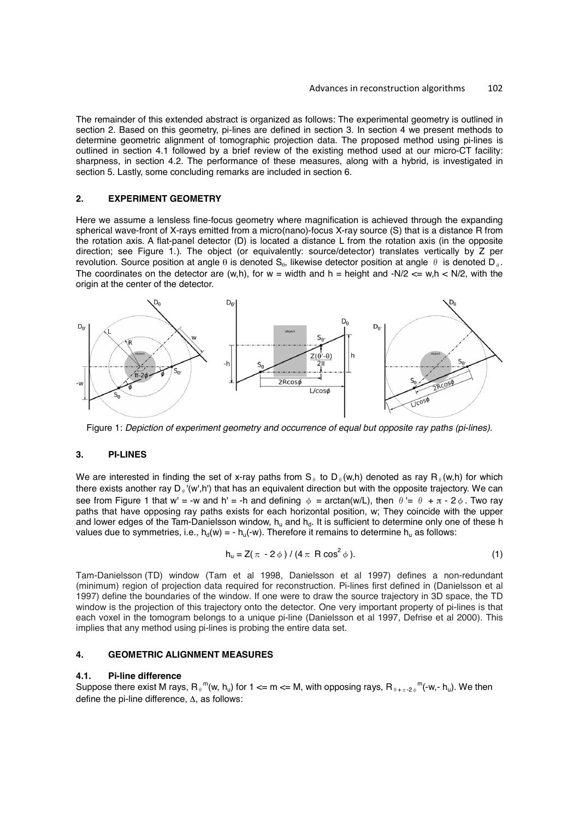The remainder of this extended abstract is organized as follows: The experimental geometry is outlined in section 2. Based on this geometry, pi-lines are defined in section 3. In section 4 we present methods to determine geometric alignment of tomographic projection data. The proposed method using pi-lines is outlined in section 4.1 followed by a brief review of the existing method used at our micro-CT facility: sharpness, in section 4.2. The performance of these measures, along with a hybrid, is investigated in section 5. Lastly, some concluding remarks are included in section 6.

# **2. EXPERIMENT GEOMETRY**

Here we assume a lensless fine-focus geometry where magnification is achieved through the expanding spherical wave-front of X-rays emitted from a micro(nano)-focus X-ray source (S) that is a distance R from the rotation axis. A flat-panel detector (D) is located a distance L from the rotation axis (in the opposite direction; see Figure 1.). The object (or equivalently: source/detector) translates vertically by Z per revolution. Source position at angle θ is denoted S<sub>θ</sub>, likewise detector position at angle θ is denoted D<sub>θ</sub>. The coordinates on the detector are (w,h), for  $w =$  width and  $h =$  height and  $-N/2 \leq w, h \leq N/2$ , with the origin at the center of the detector.



Figure 1: *Depiction of experiment geometry and occurrence of equal but opposite ray paths (pi-lines).*

## **3. PI-LINES**

We are interested in finding the set of x-ray paths from S<sub>n</sub> to D<sub>n</sub>(w,h) denoted as ray R<sub>n</sub>(w,h) for which there exists another ray  $D<sub>n</sub>$ '(w',h') that has an equivalent direction but with the opposite trajectory. We can see from Figure 1 that w' = -w and h' = -h and defining  $\phi = \arctan(w/L)$ , then  $\theta = \theta + \pi - 2\phi$ . Two ray paths that have opposing ray paths exists for each horizontal position, w; They coincide with the upper and lower edges of the Tam-Danielsson window,  $h_u$  and  $h_d$ . It is sufficient to determine only one of these h values due to symmetries, i.e.,  $h_d(w) = -h_u(-w)$ . Therefore it remains to determine  $h_u$  as follows:

$$
h_u = Z(\pi - 2\phi) / (4\pi \text{ R} \cos^2 \phi). \tag{1}
$$

Tam-Danielsson (TD) window (Tam et al 1998, Danielsson et al 1997) defines a non-redundant (minimum) region of projection data required for reconstruction. Pi-lines first defined in (Danielsson et al 1997) define the boundaries of the window. If one were to draw the source trajectory in 3D space, the TD window is the projection of this trajectory onto the detector. One very important property of pi-lines is that each voxel in the tomogram belongs to a unique pi-line (Danielsson et al 1997, Defrise et al 2000). This implies that any method using pi-lines is probing the entire data set.

# **4. GEOMETRIC ALIGNMENT MEASURES**

#### **4.1. Pi-line difference**

Suppose there exist M rays,  $R_{\theta}$ <sup>m</sup>(w, h<sub>u</sub>) for 1 <= m <= M, with opposing rays,  $R_{\theta+\pi\cdot2\phi}$ <sup>m</sup>(-w,- h<sub>u</sub>). We then define the pi-line difference, Δ, as follows: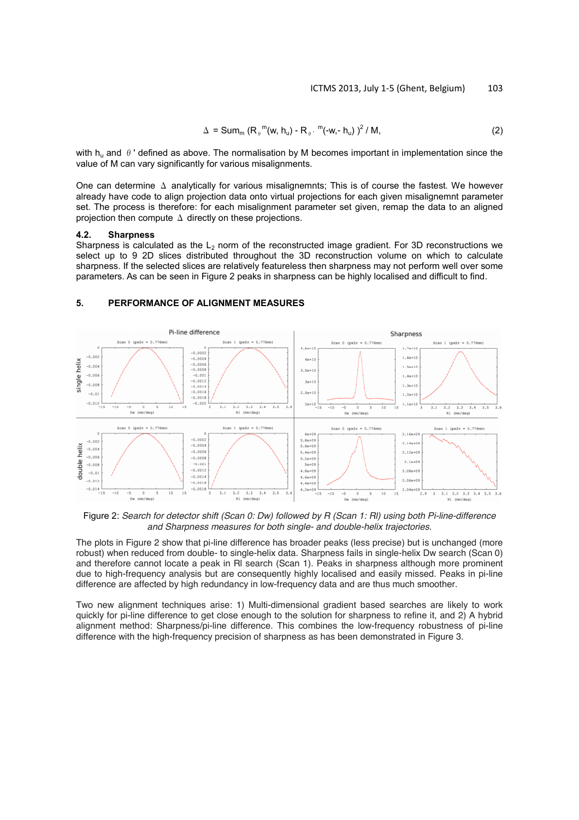$$
\Delta = \text{Sum}_{m} (R_{\theta}^{m}(w, h_{u}) - R_{\theta}^{m}(-w, - h_{u}))^{2} / M,
$$
\n(2)

with  $h_{ij}$  and  $\theta$  ' defined as above. The normalisation by M becomes important in implementation since the value of M can vary significantly for various misalignments.

One can determine  $\Delta$  analytically for various misalignemnts; This is of course the fastest. We however already have code to align projection data onto virtual projections for each given misalignemnt parameter set. The process is therefore: for each misalignment parameter set given, remap the data to an aligned projection then compute  $\Delta$  directly on these projections.

## 4.2. Sharpness

Sharpness is calculated as the  $L_2$  norm of the reconstructed image gradient. For 3D reconstructions we select up to 9 2D slices distributed throughout the 3D reconstruction volume on which to calculate sharpness. If the selected slices are relatively featureless then sharpness may not perform well over some parameters. As can be seen in Figure 2 peaks in sharpness can be highly localised and difficult to find.

# 5. PERFORMANCE OF ALIGNMENT MEASURES



*Search for detector shift (Scan 0: Dw) followed by R (Scan 1: Rl) using both Pi-line-difference and Sharpness measures for both single- and double-helix trajectories.*

The plots in Figure 2 show that pi-line difference has broader peaks (less precise) but is unchanged (more robust) when reduced from double- to single-helix data. Sharpness fails in single-helix Dw search (Scan 0) and therefore cannot locate a peak in Rl search (Scan 1). Peaks in sharpness although more prominent due to high-frequency analysis but are consequently highly localised and easily missed. Peaks in pi-line difference are affected by high redundancy in low-frequency data and are thus much smoother.

Two new alignment techniques arise: 1) Multi-dimensional gradient based searches are likely to work quickly for pi-line difference to get close enough to the solution for sharpness to refine it, and 2) A hybrid alignment method: Sharpness/pi-line difference. This combines the low-frequency robustness of pi-line difference with the high-frequency precision of sharpness as has been demonstrated in Figure 3.